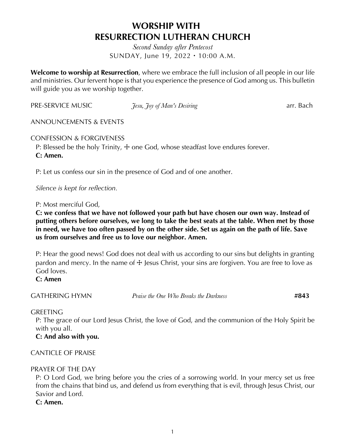# **WORSHIP WITH RESURRECTION LUTHERAN CHURCH**

*Second Sunday after Pentecost* SUNDAY, June 19, 2022・10:00 A.M.

**Welcome to worship at Resurrection**, where we embrace the full inclusion of all people in our life and ministries. Our fervent hope is that you experience the presence of God among us. This bulletin will guide you as we worship together.

PRE-SERVICE MUSIC *Tesu, Toy of Man's Desiring* arr. Bach

ANNOUNCEMENTS & EVENTS

CONFESSION & FORGIVENESS

P: Blessed be the holy Trinity,  $\pm$  one God, whose steadfast love endures forever. **C: Amen.**

P: Let us confess our sin in the presence of God and of one another.

*Silence is kept for reflection.*

P: Most merciful God,

**C: we confess that we have not followed your path but have chosen our own way. Instead of putting others before ourselves, we long to take the best seats at the table. When met by those in need, we have too often passed by on the other side. Set us again on the path of life. Save us from ourselves and free us to love our neighbor. Amen.**

P: Hear the good news! God does not deal with us according to our sins but delights in granting pardon and mercy. In the name of  $\pm$  Jesus Christ, your sins are forgiven. You are free to love as God loves.

**C: Amen**

GATHERING HYMN *Praise the One Who Breaks the Darkness* **#843**

#### GREETING

P: The grace of our Lord Jesus Christ, the love of God, and the communion of the Holy Spirit be with you all.

**C: And also with you.**

CANTICLE OF PRAISE

## PRAYER OF THE DAY

P: O Lord God, we bring before you the cries of a sorrowing world. In your mercy set us free from the chains that bind us, and defend us from everything that is evil, through Jesus Christ, our Savior and Lord.

**C: Amen.**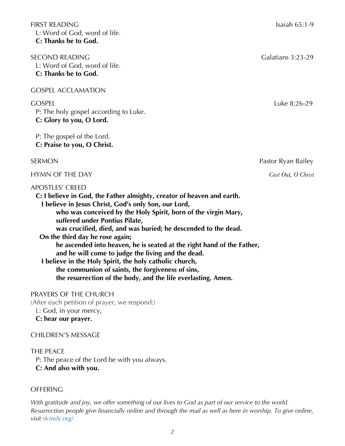FIRST READING Isaiah 65:1-9 L: Word of God, word of life. **C: Thanks be to God.**

SECOND READING GALACTER CONDITIONS AND SECOND READING L: Word of God, word of life. **C: Thanks be to God.**

GOSPEL ACCLAMATION

P: The holy gospel according to Luke. **C: Glory to you, O Lord.**

P: The gospel of the Lord. **C: Praise to you, O Christ.**

#### APOSTLES' CREED

**C: I believe in God, the Father almighty, creator of heaven and earth. I believe in Jesus Christ, God's only Son, our Lord, who was conceived by the Holy Spirit, born of the virgin Mary,**

**suffered under Pontius Pilate, was crucified, died, and was buried; he descended to the dead. On the third day he rose again; he ascended into heaven, he is seated at the right hand of the Father, and he will come to judge the living and the dead. I believe in the Holy Spirit, the holy catholic church,**

**the communion of saints, the forgiveness of sins, the resurrection of the body, and the life everlasting. Amen.**

#### PRAYERS OF THE CHURCH

(After each petition of prayer, we respond:) L: God, in your mercy, **C: hear our prayer.**

## CHILDREN'S MESSAGE

#### THE PEACE

P: The peace of the Lord be with you always.

#### **C: And also with you.**

## **OFFERING**

*With gratitude and joy, we offer something of our lives to God as part of our service to the world. Resurrection people give financially online and through the mail as well as here in worship. To give online, visit rlcindy.org/* 

GOSPEL Luke 8:26-29

SERMON Pastor Ryan Bailey

#### HYMN OF THE DAY *Cast Out, O Christ*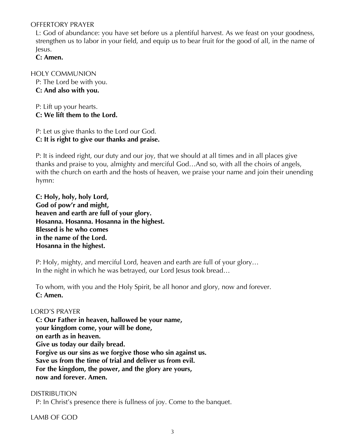#### OFFERTORY PRAYER

L: God of abundance: you have set before us a plentiful harvest. As we feast on your goodness, strengthen us to labor in your field, and equip us to bear fruit for the good of all, in the name of Jesus.

**C: Amen.**

## HOLY COMMUNION

P: The Lord be with you. **C: And also with you.**

P: Lift up your hearts. **C: We lift them to the Lord.**

P: Let us give thanks to the Lord our God. **C: It is right to give our thanks and praise.**

P: It is indeed right, our duty and our joy, that we should at all times and in all places give thanks and praise to you, almighty and merciful God…And so, with all the choirs of angels, with the church on earth and the hosts of heaven, we praise your name and join their unending hymn:

**C: Holy, holy, holy Lord, God of pow'r and might, heaven and earth are full of your glory. Hosanna. Hosanna. Hosanna in the highest. Blessed is he who comes in the name of the Lord. Hosanna in the highest.**

P: Holy, mighty, and merciful Lord, heaven and earth are full of your glory… In the night in which he was betrayed, our Lord Jesus took bread…

To whom, with you and the Holy Spirit, be all honor and glory, now and forever. **C: Amen.**

#### LORD'S PRAYER

**C: Our Father in heaven, hallowed be your name, your kingdom come, your will be done, on earth as in heaven. Give us today our daily bread. Forgive us our sins as we forgive those who sin against us. Save us from the time of trial and deliver us from evil. For the kingdom, the power, and the glory are yours, now and forever. Amen.**

#### DISTRIBUTION

P: In Christ's presence there is fullness of joy. Come to the banquet.

LAMB OF GOD